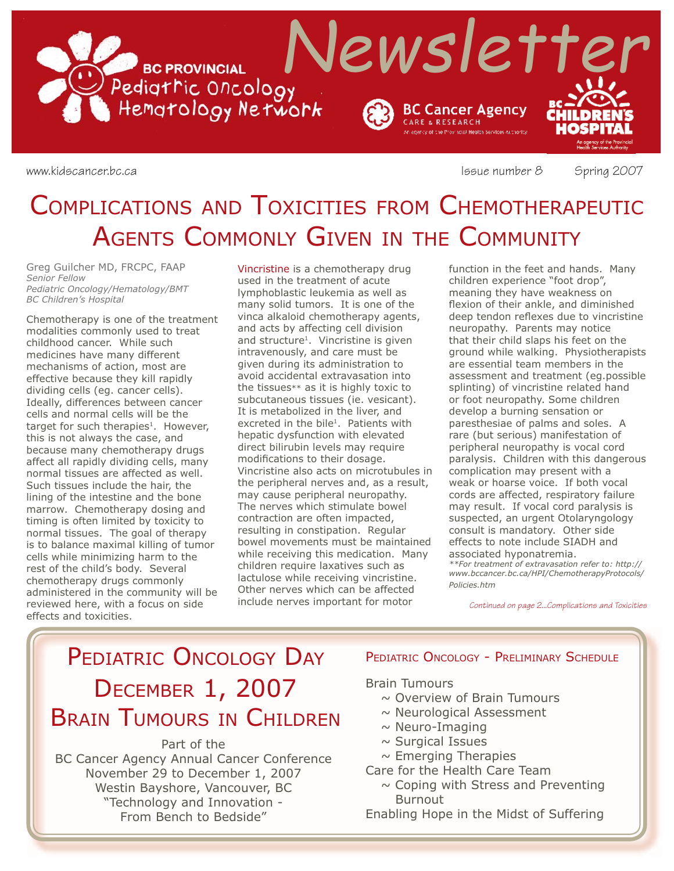

www.kidscancer.bc.ca **Issue number 8** Spring 2007

# COMPLICATIONS AND TOXICITIES FROM CHEMOTHERAPEUTIC AGENTS COMMONLY GIVEN IN THE COMMUNITY

Greg Guilcher MD, FRCPC, FAAP *Senior Fellow Pediatric Oncology/Hematology/BMT BC Children's Hospital*

Chemotherapy is one of the treatment modalities commonly used to treat childhood cancer. While such medicines have many different mechanisms of action, most are effective because they kill rapidly dividing cells (eg. cancer cells). Ideally, differences between cancer cells and normal cells will be the target for such therapies<sup>1</sup>. However, this is not always the case, and because many chemotherapy drugs affect all rapidly dividing cells, many normal tissues are affected as well. Such tissues include the hair, the lining of the intestine and the bone marrow. Chemotherapy dosing and timing is often limited by toxicity to normal tissues. The goal of therapy is to balance maximal killing of tumor cells while minimizing harm to the rest of the child's body. Several chemotherapy drugs commonly administered in the community will be reviewed here, with a focus on side effects and toxicities.

Vincristine is a chemotherapy drug used in the treatment of acute lymphoblastic leukemia as well as many solid tumors. It is one of the vinca alkaloid chemotherapy agents, and acts by affecting cell division and structure<sup>1</sup>. Vincristine is given intravenously, and care must be given during its administration to avoid accidental extravasation into the tissues\*\* as it is highly toxic to subcutaneous tissues (ie. vesicant). It is metabolized in the liver, and excreted in the bile<sup>1</sup>. Patients with hepatic dysfunction with elevated direct bilirubin levels may require modifications to their dosage. Vincristine also acts on microtubules in the peripheral nerves and, as a result, may cause peripheral neuropathy. The nerves which stimulate bowel contraction are often impacted, resulting in constipation. Regular bowel movements must be maintained while receiving this medication. Many children require laxatives such as lactulose while receiving vincristine. Other nerves which can be affected include nerves important for motor

function in the feet and hands. Many children experience "foot drop", meaning they have weakness on flexion of their ankle, and diminished deep tendon reflexes due to vincristine neuropathy. Parents may notice that their child slaps his feet on the ground while walking. Physiotherapists are essential team members in the assessment and treatment (eg.possible splinting) of vincristine related hand or foot neuropathy. Some children develop a burning sensation or paresthesiae of palms and soles. A rare (but serious) manifestation of peripheral neuropathy is vocal cord paralysis. Children with this dangerous complication may present with a weak or hoarse voice. If both vocal cords are affected, respiratory failure may result. If vocal cord paralysis is suspected, an urgent Otolaryngology consult is mandatory. Other side effects to note include SIADH and associated hyponatremia. *\*\*For treatment of extravasation refer to: http:// www.bccancer.bc.ca/HPI/ChemotherapyProtocols/ Policies.htm*

*Continued on page 2...Complications and Toxicities*

## PEDIATRIC ONCOLOGY DAY DECEMBER 1, 2007 BRAIN TUMOURS IN CHILDREN

## Part of the

BC Cancer Agency Annual Cancer Conference November 29 to December 1, 2007 Westin Bayshore, Vancouver, BC "Technology and Innovation - From Bench to Bedside"

### PEDIATRIC ONCOLOGY - PRELIMINARY SCHEDULE

### Brain Tumours

- $\sim$  Overview of Brain Tumours
- $\sim$  Neurological Assessment
- $\sim$  Neuro-Imaging
- $\sim$  Surgical Issues
- $\sim$  Emerging Therapies
- Care for the Health Care Team
	- $\sim$  Coping with Stress and Preventing Burnout
- Enabling Hope in the Midst of Suffering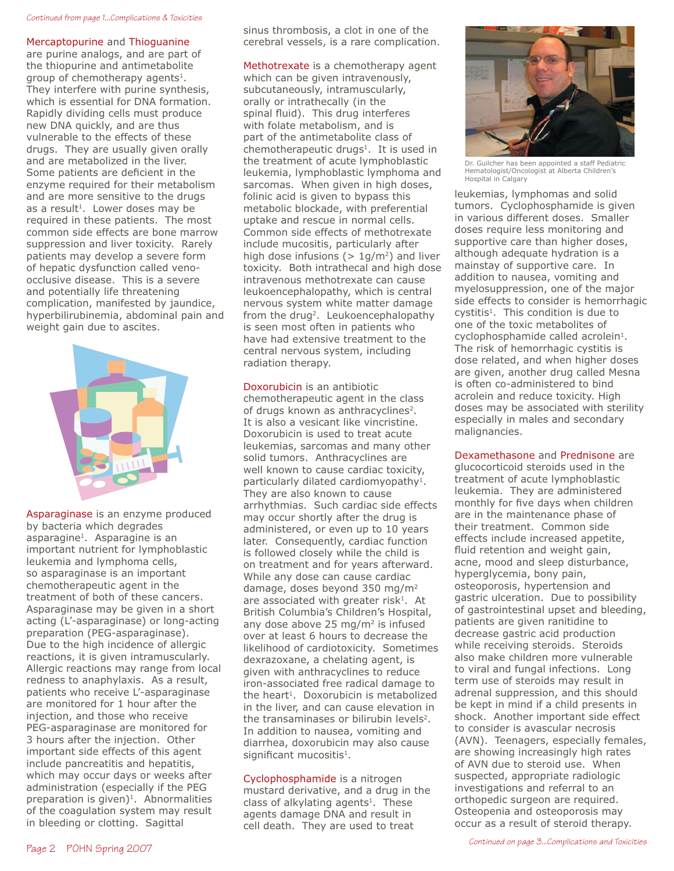#### *Continued from page 1...Complications & Toxicities*

#### Mercaptopurine and Thioguanine

are purine analogs, and are part of the thiopurine and antimetabolite group of chemotherapy agents<sup>1</sup>. They interfere with purine synthesis, which is essential for DNA formation. Rapidly dividing cells must produce new DNA quickly, and are thus vulnerable to the effects of these drugs. They are usually given orally and are metabolized in the liver. Some patients are deficient in the enzyme required for their metabolism and are more sensitive to the drugs as a result<sup>1</sup>. Lower doses may be required in these patients. The most common side effects are bone marrow suppression and liver toxicity. Rarely patients may develop a severe form of hepatic dysfunction called venoocclusive disease. This is a severe and potentially life threatening complication, manifested by jaundice, hyperbilirubinemia, abdominal pain and weight gain due to ascites.



Asparaginase is an enzyme produced by bacteria which degrades asparagine<sup>1</sup>. Asparagine is an important nutrient for lymphoblastic leukemia and lymphoma cells, so asparaginase is an important chemotherapeutic agent in the treatment of both of these cancers. Asparaginase may be given in a short acting (L'-asparaginase) or long-acting preparation (PEG-asparaginase). Due to the high incidence of allergic reactions, it is given intramuscularly. Allergic reactions may range from local redness to anaphylaxis. As a result, patients who receive L'-asparaginase are monitored for 1 hour after the injection, and those who receive PEG-asparaginase are monitored for 3 hours after the injection. Other important side effects of this agent include pancreatitis and hepatitis, which may occur days or weeks after administration (especially if the PEG preparation is given) $1$ . Abnormalities of the coagulation system may result in bleeding or clotting. Sagittal

sinus thrombosis, a clot in one of the cerebral vessels, is a rare complication.

Methotrexate is a chemotherapy agent which can be given intravenously, subcutaneously, intramuscularly, orally or intrathecally (in the spinal fluid). This drug interferes with folate metabolism, and is part of the antimetabolite class of chemotherapeutic drugs1. It is used in the treatment of acute lymphoblastic leukemia, lymphoblastic lymphoma and sarcomas. When given in high doses, folinic acid is given to bypass this metabolic blockade, with preferential uptake and rescue in normal cells. Common side effects of methotrexate include mucositis, particularly after high dose infusions ( $> 1$ g/m<sup>2</sup>) and liver toxicity. Both intrathecal and high dose intravenous methotrexate can cause leukoencephalopathy, which is central nervous system white matter damage from the drug<sup>2</sup>. Leukoencephalopathy is seen most often in patients who have had extensive treatment to the central nervous system, including radiation therapy.

Doxorubicin is an antibiotic chemotherapeutic agent in the class of drugs known as anthracyclines<sup>2</sup>. It is also a vesicant like vincristine. Doxorubicin is used to treat acute leukemias, sarcomas and many other solid tumors. Anthracyclines are well known to cause cardiac toxicity, particularly dilated cardiomyopathy<sup>1</sup>. They are also known to cause arrhythmias. Such cardiac side effects may occur shortly after the drug is administered, or even up to 10 years later. Consequently, cardiac function is followed closely while the child is on treatment and for years afterward. While any dose can cause cardiac damage, doses beyond 350 mg/m2 are associated with greater risk $1$ . At British Columbia's Children's Hospital, any dose above 25 mg/ $m<sup>2</sup>$  is infused over at least 6 hours to decrease the likelihood of cardiotoxicity. Sometimes dexrazoxane, a chelating agent, is given with anthracyclines to reduce iron-associated free radical damage to the heart<sup>1</sup>. Doxorubicin is metabolized in the liver, and can cause elevation in the transaminases or bilirubin levels<sup>2</sup>. In addition to nausea, vomiting and diarrhea, doxorubicin may also cause significant mucositis $<sup>1</sup>$ .</sup>

Cyclophosphamide is a nitrogen mustard derivative, and a drug in the class of alkylating agents $1$ . These agents damage DNA and result in cell death. They are used to treat



Dr. Guilcher has been appointed a staff Pediatric Hematologist/Oncologist at Alberta Children's Hospital in Calgary

leukemias, lymphomas and solid tumors. Cyclophosphamide is given in various different doses. Smaller doses require less monitoring and supportive care than higher doses, although adequate hydration is a mainstay of supportive care. In addition to nausea, vomiting and myelosuppression, one of the major side effects to consider is hemorrhagic cystitis<sup>1</sup>. This condition is due to one of the toxic metabolites of cyclophosphamide called acrolein<sup>1</sup>. The risk of hemorrhagic cystitis is dose related, and when higher doses are given, another drug called Mesna is often co-administered to bind acrolein and reduce toxicity. High doses may be associated with sterility especially in males and secondary malignancies.

Dexamethasone and Prednisone are

glucocorticoid steroids used in the treatment of acute lymphoblastic leukemia. They are administered monthly for five days when children are in the maintenance phase of their treatment. Common side effects include increased appetite, fluid retention and weight gain, acne, mood and sleep disturbance, hyperglycemia, bony pain, osteoporosis, hypertension and gastric ulceration. Due to possibility of gastrointestinal upset and bleeding, patients are given ranitidine to decrease gastric acid production while receiving steroids. Steroids also make children more vulnerable to viral and fungal infections. Long term use of steroids may result in adrenal suppression, and this should be kept in mind if a child presents in shock. Another important side effect to consider is avascular necrosis (AVN). Teenagers, especially females, are showing increasingly high rates of AVN due to steroid use. When suspected, appropriate radiologic investigations and referral to an orthopedic surgeon are required. Osteopenia and osteoporosis may occur as a result of steroid therapy.

*Continued on page 3...Complications and Toxicities*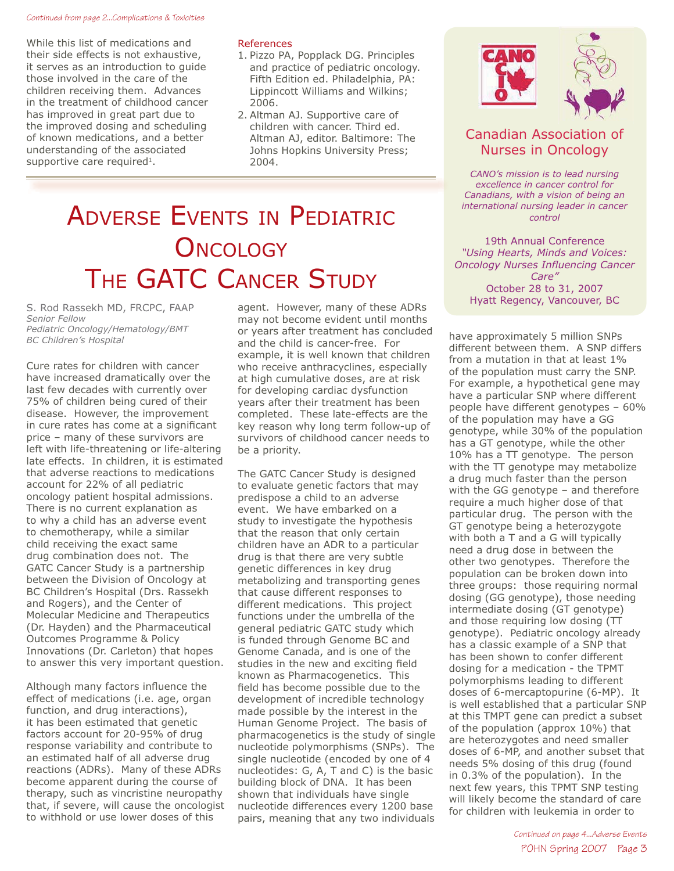#### *Continued from page 2...Complications & Toxicities*

While this list of medications and their side effects is not exhaustive, it serves as an introduction to guide those involved in the care of the children receiving them. Advances in the treatment of childhood cancer has improved in great part due to the improved dosing and scheduling of known medications, and a better understanding of the associated supportive care required<sup>1</sup>.

#### References

- 1. Pizzo PA, Popplack DG. Principles and practice of pediatric oncology. Fifth Edition ed. Philadelphia, PA: Lippincott Williams and Wilkins; 2006.
- 2. Altman AJ. Supportive care of children with cancer. Third ed. Altman AJ, editor. Baltimore: The Johns Hopkins University Press; 2004.

# ADVERSE EVENTS IN PEDIATRIC **ONCOLOGY** THE GATC CANCER STUDY

S. Rod Rassekh MD, FRCPC, FAAP *Senior Fellow Pediatric Oncology/Hematology/BMT BC Children's Hospital*

Cure rates for children with cancer have increased dramatically over the last few decades with currently over 75% of children being cured of their disease. However, the improvement in cure rates has come at a significant price – many of these survivors are left with life-threatening or life-altering late effects. In children, it is estimated that adverse reactions to medications account for 22% of all pediatric oncology patient hospital admissions. There is no current explanation as to why a child has an adverse event to chemotherapy, while a similar child receiving the exact same drug combination does not. The GATC Cancer Study is a partnership between the Division of Oncology at BC Children's Hospital (Drs. Rassekh and Rogers), and the Center of Molecular Medicine and Therapeutics (Dr. Hayden) and the Pharmaceutical Outcomes Programme & Policy Innovations (Dr. Carleton) that hopes to answer this very important question.

Although many factors influence the effect of medications (i.e. age, organ function, and drug interactions), it has been estimated that genetic factors account for 20-95% of drug response variability and contribute to an estimated half of all adverse drug reactions (ADRs). Many of these ADRs become apparent during the course of therapy, such as vincristine neuropathy that, if severe, will cause the oncologist to withhold or use lower doses of this

agent. However, many of these ADRs may not become evident until months or years after treatment has concluded and the child is cancer-free. For example, it is well known that children who receive anthracyclines, especially at high cumulative doses, are at risk for developing cardiac dysfunction years after their treatment has been completed. These late-effects are the key reason why long term follow-up of survivors of childhood cancer needs to be a priority.

The GATC Cancer Study is designed to evaluate genetic factors that may predispose a child to an adverse event. We have embarked on a study to investigate the hypothesis that the reason that only certain children have an ADR to a particular drug is that there are very subtle genetic differences in key drug metabolizing and transporting genes that cause different responses to different medications. This project functions under the umbrella of the general pediatric GATC study which is funded through Genome BC and Genome Canada, and is one of the studies in the new and exciting field known as Pharmacogenetics. This field has become possible due to the development of incredible technology made possible by the interest in the Human Genome Project. The basis of pharmacogenetics is the study of single nucleotide polymorphisms (SNPs). The single nucleotide (encoded by one of 4 nucleotides: G, A, T and C) is the basic building block of DNA. It has been shown that individuals have single nucleotide differences every 1200 base pairs, meaning that any two individuals



## Canadian Association of Nurses in Oncology

*CANO's mission is to lead nursing excellence in cancer control for Canadians, with a vision of being an international nursing leader in cancer control*

19th Annual Conference *"Using Hearts, Minds and Voices:* **Oncology Nurses Influencing Cancer** *Care"* October 28 to 31, 2007 Hyatt Regency, Vancouver, BC

have approximately 5 million SNPs different between them. A SNP differs from a mutation in that at least 1% of the population must carry the SNP. For example, a hypothetical gene may have a particular SNP where different people have different genotypes – 60% of the population may have a GG genotype, while 30% of the population has a GT genotype, while the other 10% has a TT genotype. The person with the TT genotype may metabolize a drug much faster than the person with the GG genotype – and therefore require a much higher dose of that particular drug. The person with the GT genotype being a heterozygote with both a T and a G will typically need a drug dose in between the other two genotypes. Therefore the population can be broken down into three groups: those requiring normal dosing (GG genotype), those needing intermediate dosing (GT genotype) and those requiring low dosing (TT genotype). Pediatric oncology already has a classic example of a SNP that has been shown to confer different dosing for a medication - the TPMT polymorphisms leading to different doses of 6-mercaptopurine (6-MP). It is well established that a particular SNP at this TMPT gene can predict a subset of the population (approx 10%) that are heterozygotes and need smaller doses of 6-MP, and another subset that needs 5% dosing of this drug (found in 0.3% of the population). In the next few years, this TPMT SNP testing will likely become the standard of care for children with leukemia in order to

> POHN Spring 2007 Page 3 *Continued on page 4...Adverse Events*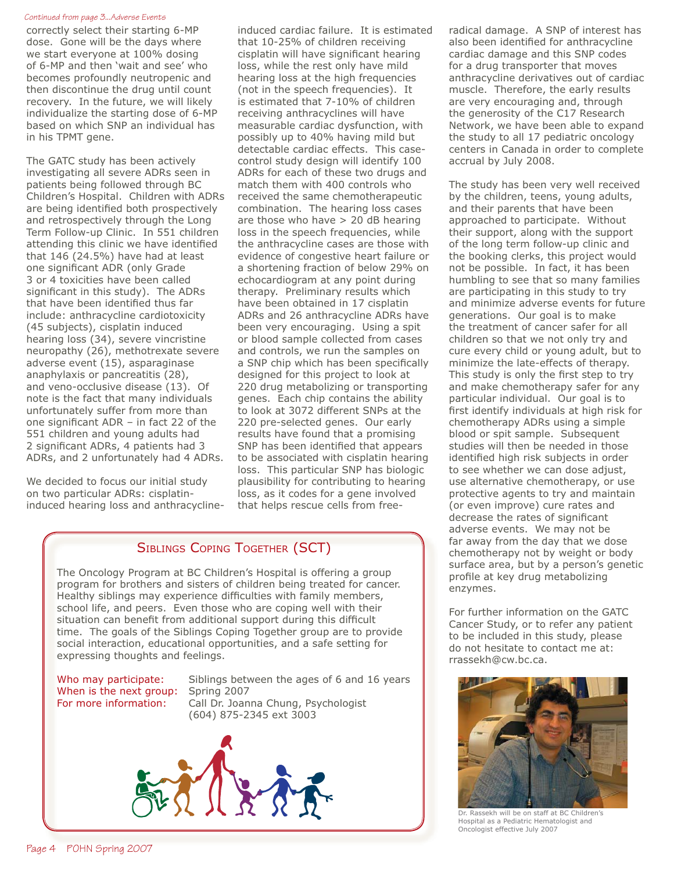#### *Continued from page 3...Adverse Events*

correctly select their starting 6-MP dose. Gone will be the days where we start everyone at 100% dosing of 6-MP and then 'wait and see' who becomes profoundly neutropenic and then discontinue the drug until count recovery. In the future, we will likely individualize the starting dose of 6-MP based on which SNP an individual has in his TPMT gene.

The GATC study has been actively investigating all severe ADRs seen in patients being followed through BC Children's Hospital. Children with ADRs are being identified both prospectively and retrospectively through the Long Term Follow-up Clinic. In 551 children attending this clinic we have identified that 146 (24.5%) have had at least one significant ADR (only Grade 3 or 4 toxicities have been called significant in this study). The ADRs that have been identified thus far include: anthracycline cardiotoxicity (45 subjects), cisplatin induced hearing loss (34), severe vincristine neuropathy (26), methotrexate severe adverse event (15), asparaginase anaphylaxis or pancreatitis (28), and veno-occlusive disease (13). Of note is the fact that many individuals unfortunately suffer from more than one significant  $ADR - in$  fact 22 of the 551 children and young adults had 2 significant ADRs, 4 patients had 3 ADRs, and 2 unfortunately had 4 ADRs.

We decided to focus our initial study on two particular ADRs: cisplatininduced hearing loss and anthracycline-

induced cardiac failure. It is estimated that 10-25% of children receiving cisplatin will have significant hearing loss, while the rest only have mild hearing loss at the high frequencies (not in the speech frequencies). It is estimated that 7-10% of children receiving anthracyclines will have measurable cardiac dysfunction, with possibly up to 40% having mild but detectable cardiac effects. This casecontrol study design will identify 100 ADRs for each of these two drugs and match them with 400 controls who received the same chemotherapeutic combination. The hearing loss cases are those who have > 20 dB hearing loss in the speech frequencies, while the anthracycline cases are those with evidence of congestive heart failure or a shortening fraction of below 29% on echocardiogram at any point during therapy. Preliminary results which have been obtained in 17 cisplatin ADRs and 26 anthracycline ADRs have been very encouraging. Using a spit or blood sample collected from cases and controls, we run the samples on a SNP chip which has been specifically designed for this project to look at 220 drug metabolizing or transporting genes. Each chip contains the ability to look at 3072 different SNPs at the 220 pre-selected genes. Our early results have found that a promising SNP has been identified that appears to be associated with cisplatin hearing loss. This particular SNP has biologic plausibility for contributing to hearing loss, as it codes for a gene involved that helps rescue cells from free-

## SIBLINGS COPING TOGETHER (SCT)

The Oncology Program at BC Children's Hospital is offering a group program for brothers and sisters of children being treated for cancer. Healthy siblings may experience difficulties with family members, school life, and peers. Even those who are coping well with their situation can benefit from additional support during this difficult time. The goals of the Siblings Coping Together group are to provide social interaction, educational opportunities, and a safe setting for expressing thoughts and feelings.

When is the next group: Spring 2007

Who may participate: Siblings between the ages of 6 and 16 years For more information: Call Dr. Joanna Chung, Psychologist (604) 875-2345 ext 3003



radical damage. A SNP of interest has also been identified for anthracycline cardiac damage and this SNP codes for a drug transporter that moves anthracycline derivatives out of cardiac muscle. Therefore, the early results are very encouraging and, through the generosity of the C17 Research Network, we have been able to expand the study to all 17 pediatric oncology centers in Canada in order to complete accrual by July 2008.

The study has been very well received by the children, teens, young adults, and their parents that have been approached to participate. Without their support, along with the support of the long term follow-up clinic and the booking clerks, this project would not be possible. In fact, it has been humbling to see that so many families are participating in this study to try and minimize adverse events for future generations. Our goal is to make the treatment of cancer safer for all children so that we not only try and cure every child or young adult, but to minimize the late-effects of therapy. This study is only the first step to try and make chemotherapy safer for any particular individual. Our goal is to first identify individuals at high risk for chemotherapy ADRs using a simple blood or spit sample. Subsequent studies will then be needed in those identified high risk subjects in order to see whether we can dose adjust, use alternative chemotherapy, or use protective agents to try and maintain (or even improve) cure rates and decrease the rates of significant adverse events. We may not be far away from the day that we dose chemotherapy not by weight or body surface area, but by a person's genetic profile at key drug metabolizing enzymes.

For further information on the GATC Cancer Study, or to refer any patient to be included in this study, please do not hesitate to contact me at: rrassekh@cw.bc.ca.



Dr. Rassekh will be on staff at BC Children's Hospital as a Pediatric Hematologist and Oncologist effective July 2007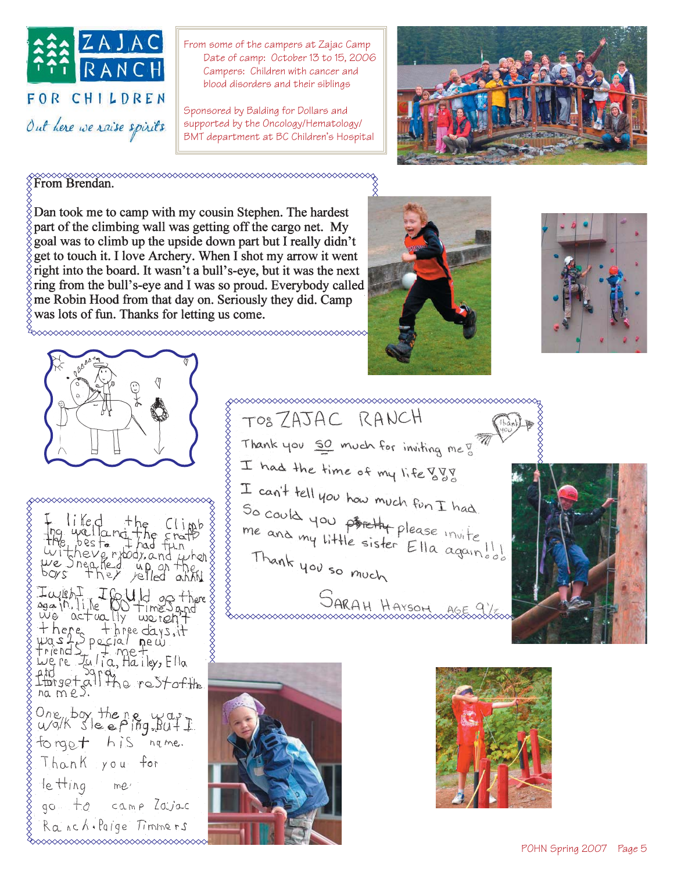

From some of the campers at Zajac Camp Date of camp: October 13 to 15, 2006 Campers: Children with cancer and blood disorders and their siblings

Sponsored by Balding for Dollars and supported by the Oncology/Hematology/ BMT department at BC Children's Hospital



From Brendan.

Dan took me to camp with my cousin Stephen. The hardest part of the climbing wall was getting off the cargo net. My goal was to climb up the upside down part but I really didn't get to touch it. I love Archery. When I shot my arrow it went right into the board. It wasn't a bull's-eye, but it was the next ring from the bull's-eye and I was so proud. Everybody called me Robin Hood from that day on. Seriously they did. Camp was lots of fun. Thanks for letting us come.







◇◇◇◇◇◇◇◇◇◇◇◇◇◇◇◇◇◇◇◇◇◇◇◇◇◇◇ lifed the Clinb<br>
expected the Clinb<br>
expected that fun<br>
there they up on the society<br>
s they relied annumed<br>
s they relied annumed<br>
entire days, it<br>
actually world?<br>
in the days, it<br>
in the days, it<br>
in the days, it<br>
is th lvi. we poxe Iwith I Could go there<br>again like CO time Sand<br>we actually worldit there three days, it<br>was 1 Special new triends - pecial new three<br>were tutia, Hailey, Ella and Sara<br>Librect all the rest of the One box then e was tonget his nqme. Thank you  $f_{\text{or}}$ le Hing  $me'$ 

go to camp Zavac Ranch. Paige Timmers

TOSZAJAC RANCH Thank you 50 much for inviting me of I had the time of my life  $\frac{87}{3}$ I can't tell you how much fun I had So could you problem fun I had<br>me and my little sister Ella again of Thank you so much JARAH HAYSON ASE 9